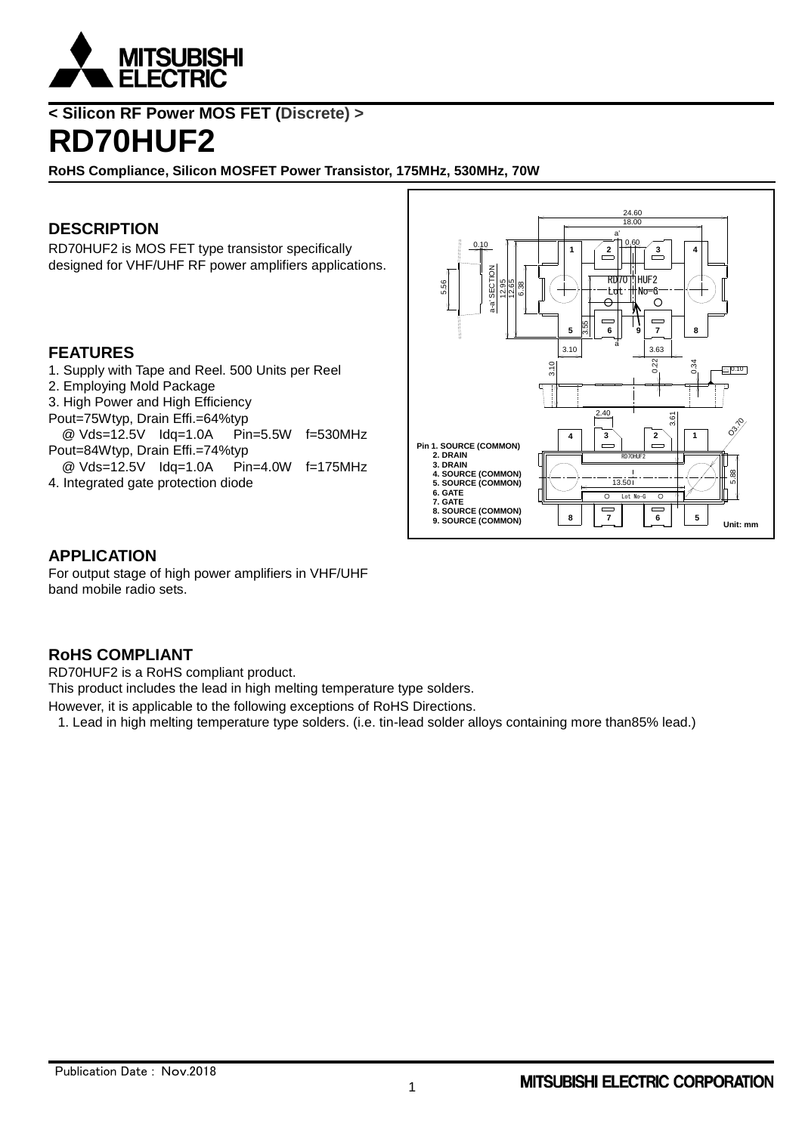

**< Silicon RF Power MOS FET (Discrete) >**

# **RD70HUF2**

**RoHS Compliance, Silicon MOSFET Power Transistor, 175MHz, 530MHz, 70W**

## **DESCRIPTION**

RD70HUF2 is MOS FET type transistor specifically designed for VHF/UHF RF power amplifiers applications.

#### **FEATURES**

- 1. Supply with Tape and Reel. 500 Units per Reel
- 2. Employing Mold Package
- 3. High Power and High Efficiency
- Pout=75Wtyp, Drain Effi.=64%typ
- @ Vds=12.5V Idq=1.0A Pin=5.5W f=530MHz Pout=84Wtyp, Drain Effi.=74%typ
- @ Vds=12.5V Idq=1.0A Pin=4.0W f=175MHz
- 4. Integrated gate protection diode



#### **APPLICATION**

For output stage of high power amplifiers in VHF/UHF band mobile radio sets.

## **RoHS COMPLIANT**

RD70HUF2 is a RoHS compliant product.

This product includes the lead in high melting temperature type solders.

However, it is applicable to the following exceptions of RoHS Directions.

1. Lead in high melting temperature type solders. (i.e. tin-lead solder alloys containing more than85% lead.)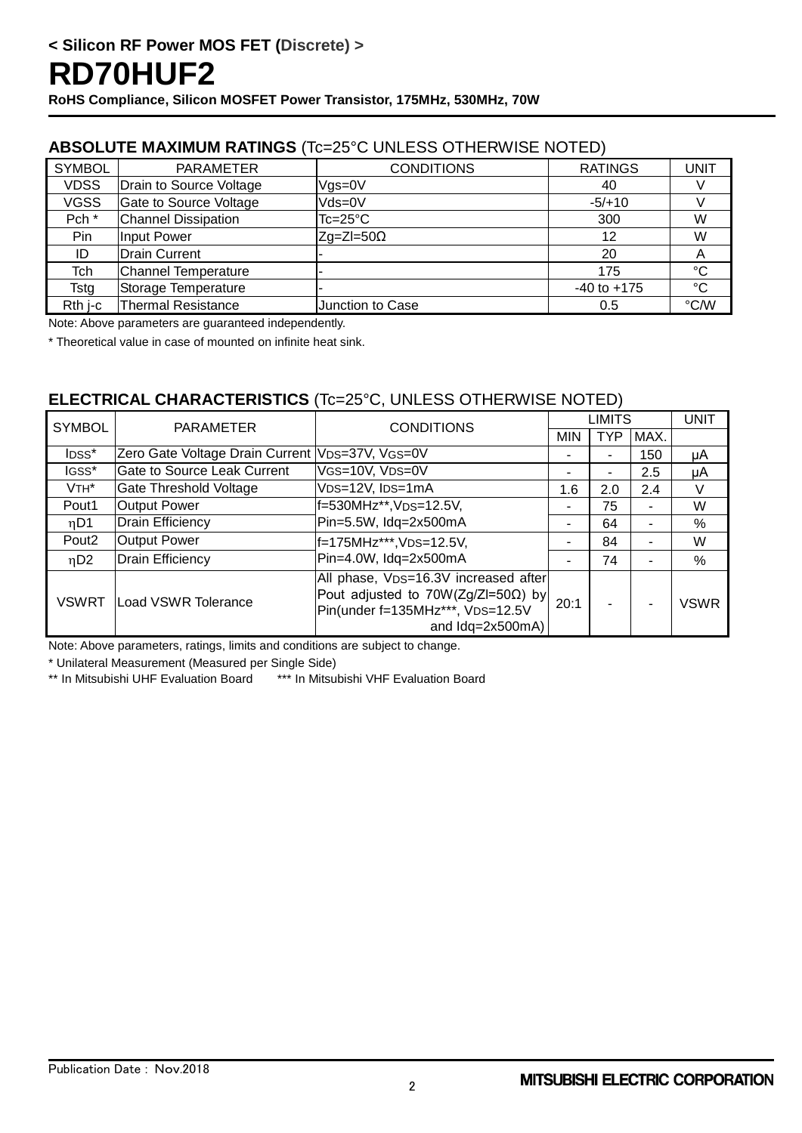### **ABSOLUTE MAXIMUM RATINGS** (Tc=25°C UNLESS OTHERWISE NOTED)

| <b>SYMBOL</b>    | <b>PARAMETER</b>           | <b>CONDITIONS</b>  | <b>RATINGS</b>  | <b>UNIT</b>  |
|------------------|----------------------------|--------------------|-----------------|--------------|
| <b>VDSS</b>      | Drain to Source Voltage    | $V$ gs=0 $V$       | 40              |              |
| <b>VGSS</b>      | Gate to Source Voltage     | Vds=0V             | $-5/+10$        |              |
| Pch <sup>*</sup> | <b>Channel Dissipation</b> | $Tc = 25^{\circ}C$ | 300             | W            |
| Pin              | Input Power                | $Zg=ZI=50\Omega$   | 12              | W            |
| ID               | Drain Current              |                    | 20              | A            |
| Tch              | Channel Temperature        |                    | 175             | $^{\circ}C$  |
| Tstg             | Storage Temperature        |                    | $-40$ to $+175$ | $^{\circ}$ C |
| Rth i-c          | <b>Thermal Resistance</b>  | Junction to Case   | 0.5             | °C/W         |

Note: Above parameters are guaranteed independently.

\* Theoretical value in case of mounted on infinite heat sink.

### **ELECTRICAL CHARACTERISTICS** (Tc=25°C, UNLESS OTHERWISE NOTED)

| <b>SYMBOL</b>     | <b>PARAMETER</b>                                | <b>CONDITIONS</b>                                                                                                                   | LIMITS     |                |                | <b>UNIT</b> |
|-------------------|-------------------------------------------------|-------------------------------------------------------------------------------------------------------------------------------------|------------|----------------|----------------|-------------|
|                   |                                                 |                                                                                                                                     | <b>MIN</b> | <b>TYP</b>     | MAX.           |             |
| IDSS*             | Zero Gate Voltage Drain Current VDS=37V, VGS=0V |                                                                                                                                     |            |                | 150            | μA          |
| IGSS*             | <b>Gate to Source Leak Current</b>              | VGS=10V, VDS=0V                                                                                                                     |            | $\blacksquare$ | 2.5            | μA          |
| $VTH^*$           | <b>Gate Threshold Voltage</b>                   | VDS=12V, IDS=1mA                                                                                                                    | 1.6        | 2.0            | 2.4            | V           |
| Pout1             | <b>Output Power</b>                             | f=530MHz**, VDS=12.5V,                                                                                                              |            | 75             |                | W           |
| $\eta$ D1         | <b>Drain Efficiency</b>                         | Pin=5.5W, Idq=2x500mA                                                                                                               |            | 64             | $\blacksquare$ | $\%$        |
| Pout <sub>2</sub> | <b>Output Power</b>                             | f=175MHz***, VDS=12.5V,<br>Pin=4.0W, Idq=2x500mA                                                                                    |            | 84             | ٠              | W           |
| nD2               | <b>Drain Efficiency</b>                         |                                                                                                                                     |            | 74             |                | $\%$        |
| <b>VSWRT</b>      | Load VSWR Tolerance                             | All phase, VDS=16.3V increased after<br>Pout adjusted to 70W(Zg/ZI=50Ω) by<br>Pin(under f=135MHz***, VDS=12.5V<br>and $ldq=2x500mA$ | 20:1       |                |                | <b>VSWR</b> |

Note: Above parameters, ratings, limits and conditions are subject to change.

\* Unilateral Measurement (Measured per Single Side)

\*\* In Mitsubishi UHF Evaluation Board \*\*\* In Mitsubishi VHF Evaluation Board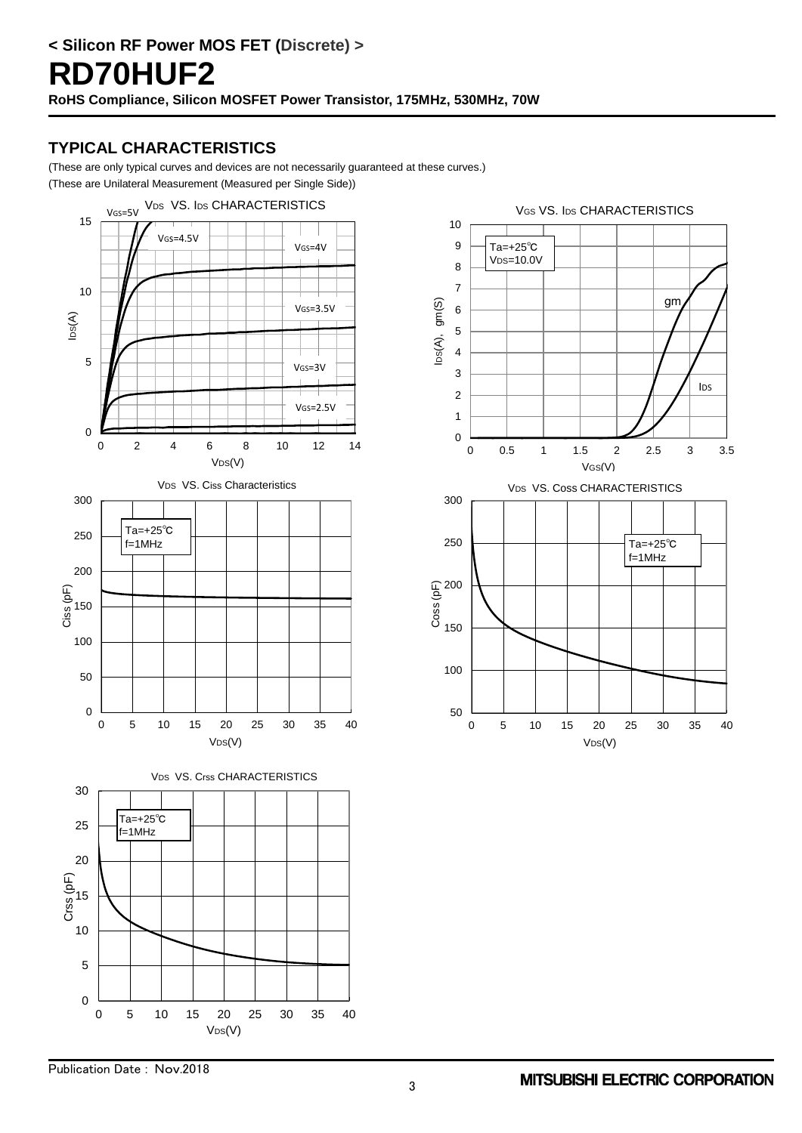### **TYPICAL CHARACTERISTICS**

(These are only typical curves and devices are not necessarily guaranteed at these curves.)

(These are Unilateral Measurement (Measured per Single Side))



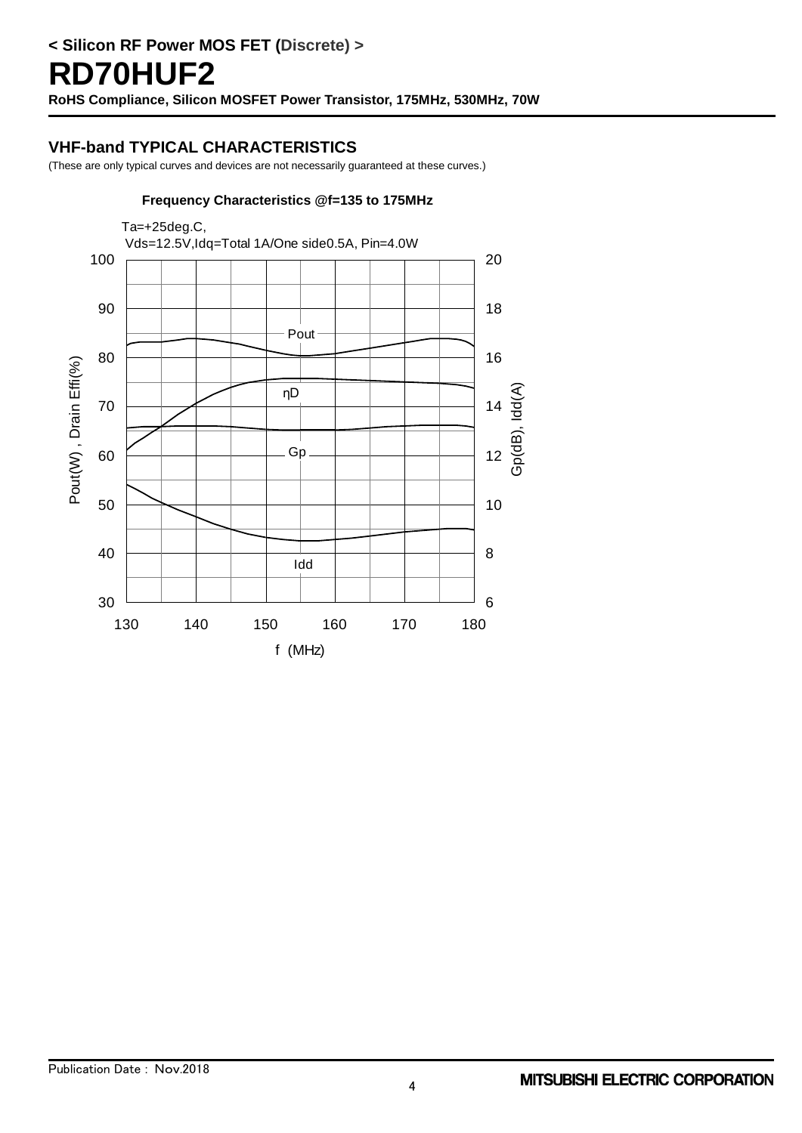### **VHF-band TYPICAL CHARACTERISTICS**

(These are only typical curves and devices are not necessarily guaranteed at these curves.)

#### **Frequency Characteristics @f=135 to 175MHz**

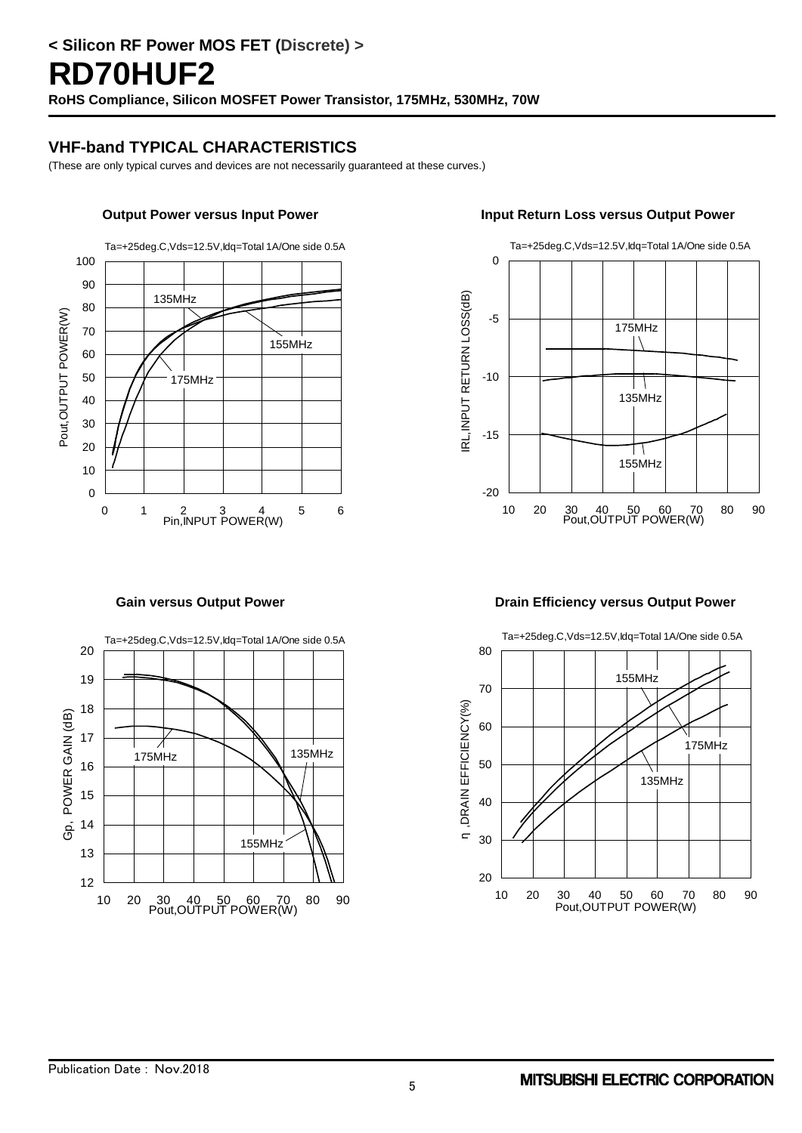## **VHF-band TYPICAL CHARACTERISTICS**

(These are only typical curves and devices are not necessarily guaranteed at these curves.)

Ta=+25deg.C,Vds=12.5V,Idq=Total 1A/One side 0.5A





#### **Output Power versus Input Power Input Return Loss versus Output Power**



#### **Gain versus Output Power Drain Efficiency versus Output Power**

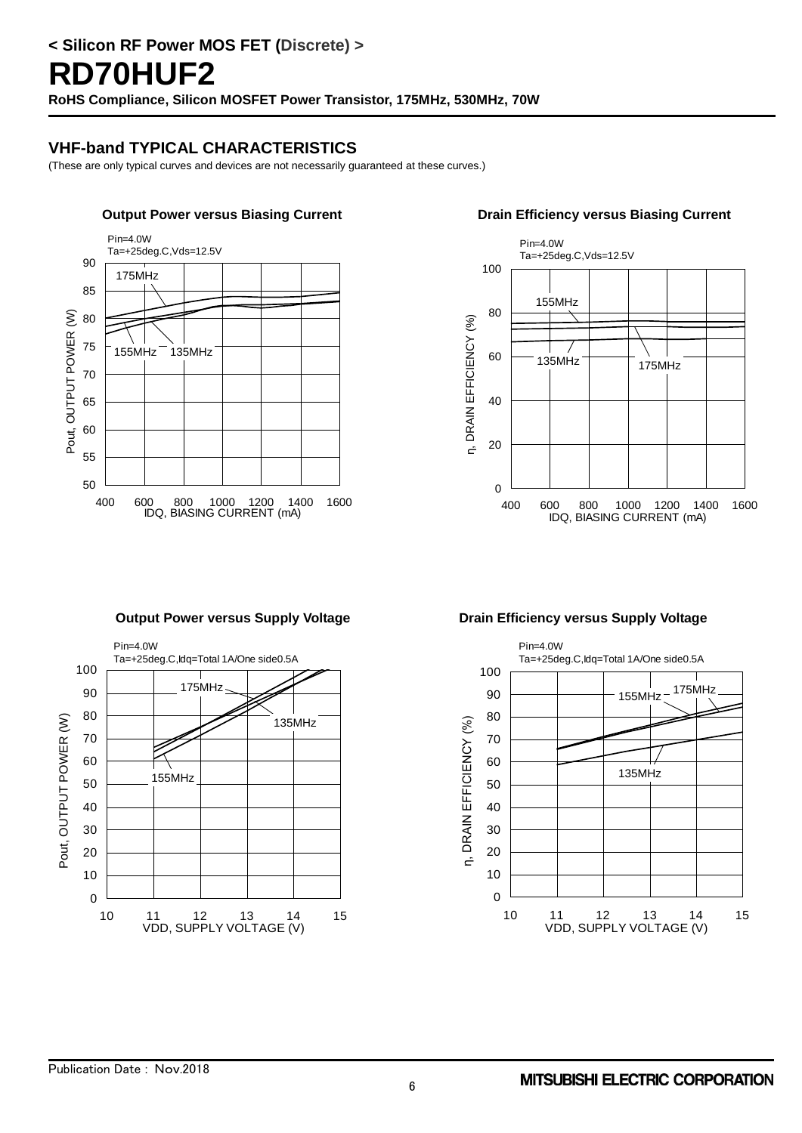## **VHF-band TYPICAL CHARACTERISTICS**

(These are only typical curves and devices are not necessarily guaranteed at these curves.)







**Output Power versus Supply Voltage Communisty Contract Power Voltage Drain Efficiency versus Supply Voltage** 

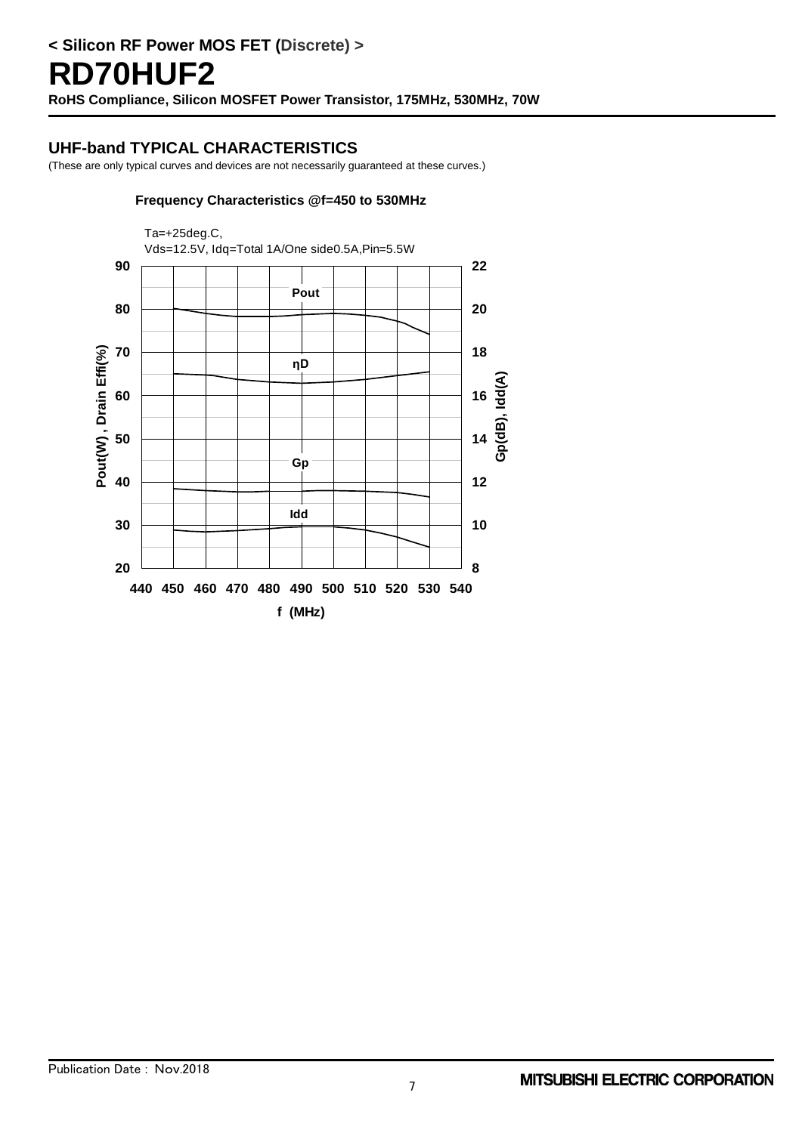### **UHF-band TYPICAL CHARACTERISTICS**

(These are only typical curves and devices are not necessarily guaranteed at these curves.)

#### **Frequency Characteristics @f=450 to 530MHz**

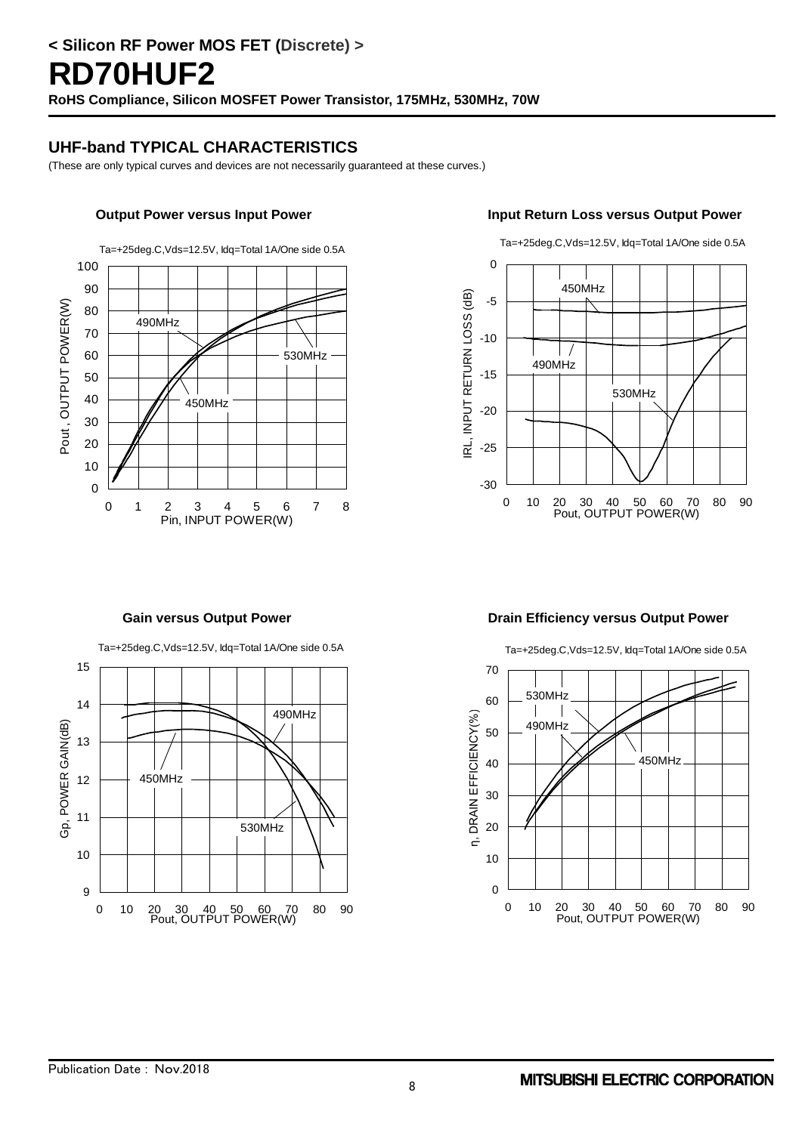### **UHF-band TYPICAL CHARACTERISTICS**

(These are only typical curves and devices are not necessarily guaranteed at these curves.)

Ta=+25deg.C,Vds=12.5V, Idq=Total 1A/One side 0.5A



#### **Output Power versus Input Power Input Return Loss versus Output Power**



Ta=+25deg.C,Vds=12.5V, Idq=Total 1A/One side 0.5A

Ta=+25deg.C,Vds=12.5V, Idq=Total 1A/One side 0.5A



**Gain versus Output Power Drain Efficiency versus Output Power**

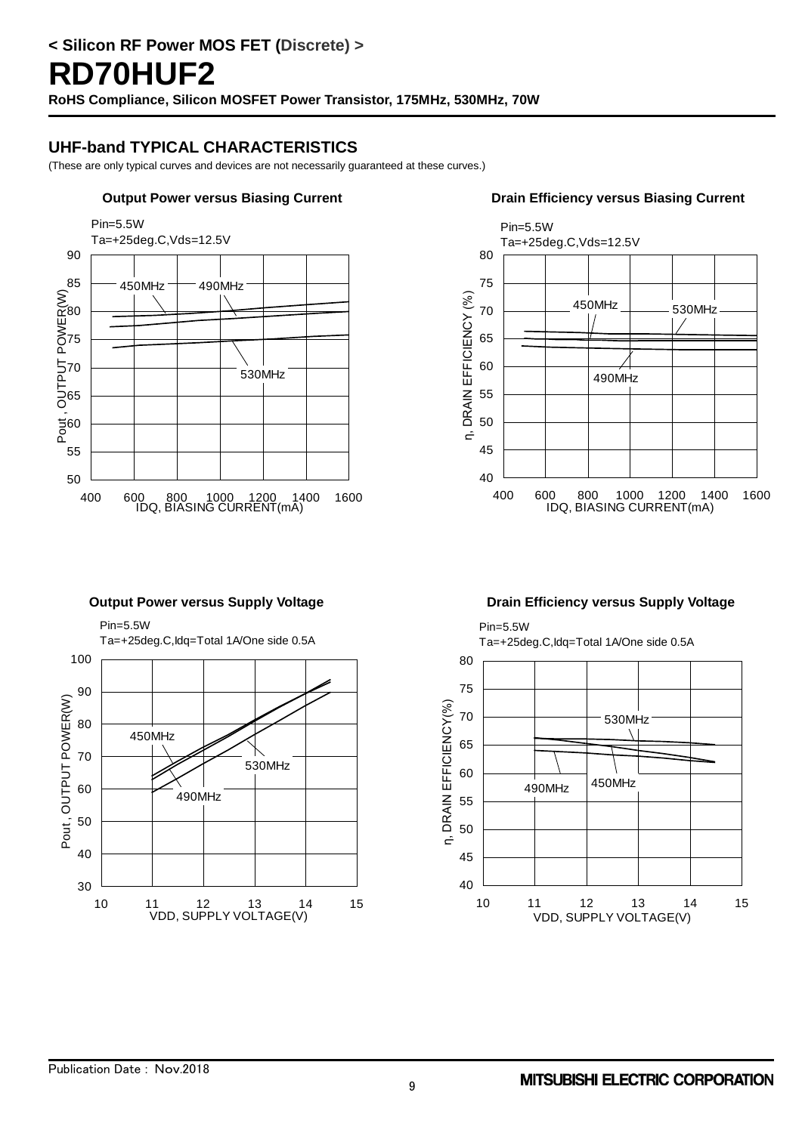## **UHF-band TYPICAL CHARACTERISTICS**

(These are only typical curves and devices are not necessarily guaranteed at these curves.)



#### **Output Power versus Biasing Current Current Current Current Current Current** Drain Efficiency versus Biasing Current



#### **Output Power versus Supply Voltage <b>Drain Efficiency versus Supply Voltage**

 Ta=+25deg.C,Idq=Total 1A/One side 0.5A 100 90 Pout, OUTPUT POWER(W) Pout , OUTPUT POWER(W) 80 450MHz 70 530MHz 60 490MHz 50 40 30 10 11 12 13 14 15 VDD, SUPPLY VOLTAGE(V)



Pin=5.5W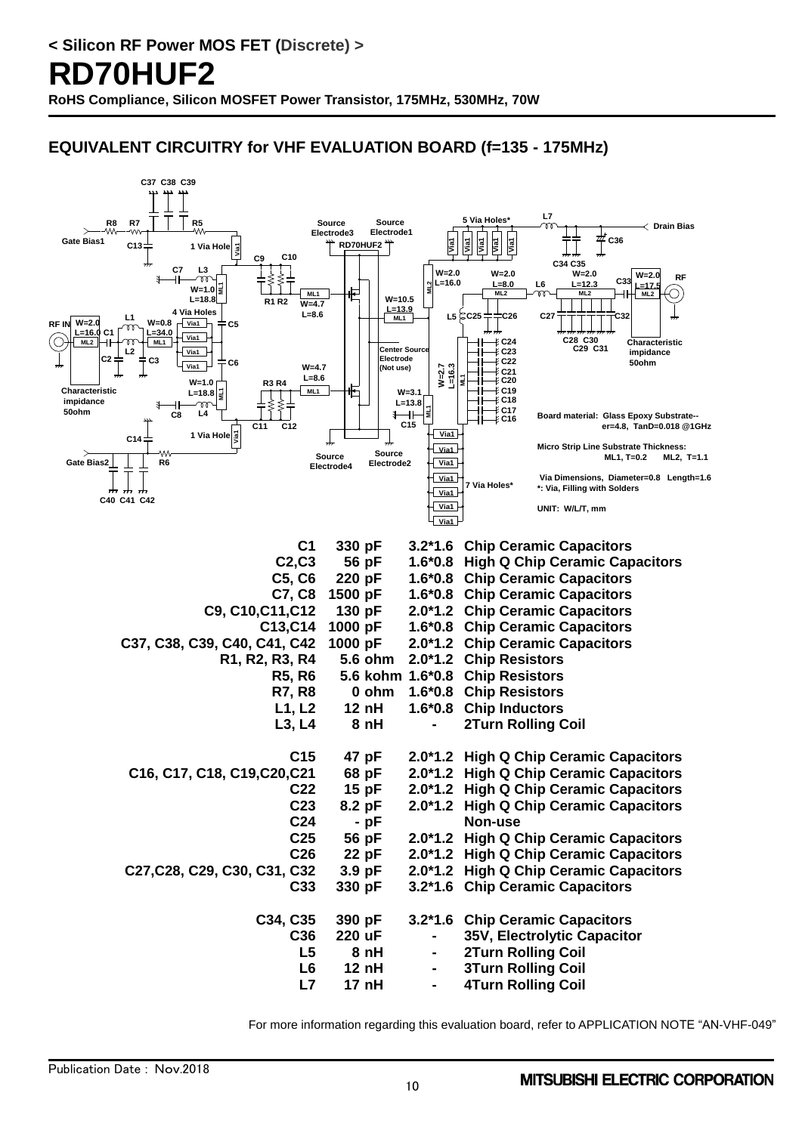## **EQUIVALENT CIRCUITRY for VHF EVALUATION BOARD (f=135 - 175MHz)**



For more information regarding this evaluation board, refer to APPLICATION NOTE "AN-VHF-049"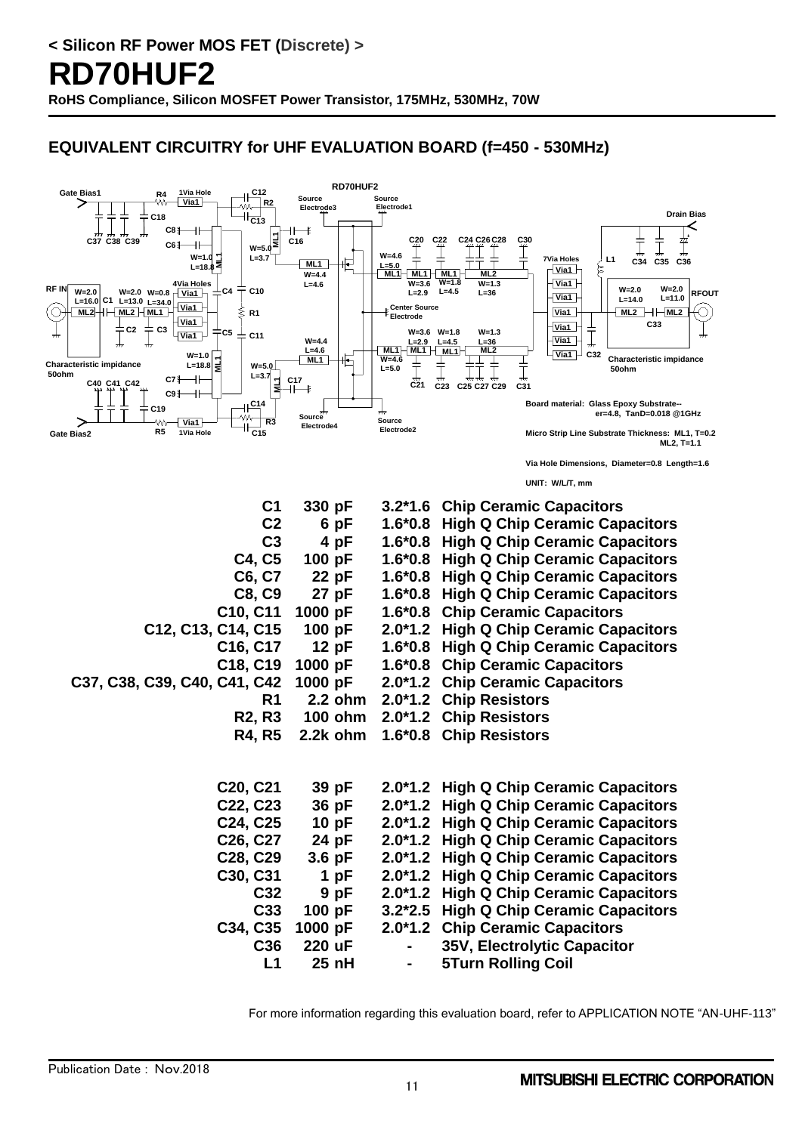## **EQUIVALENT CIRCUITRY for UHF EVALUATION BOARD (f=450 - 530MHz)**



For more information regarding this evaluation board, refer to APPLICATION NOTE "AN-UHF-113"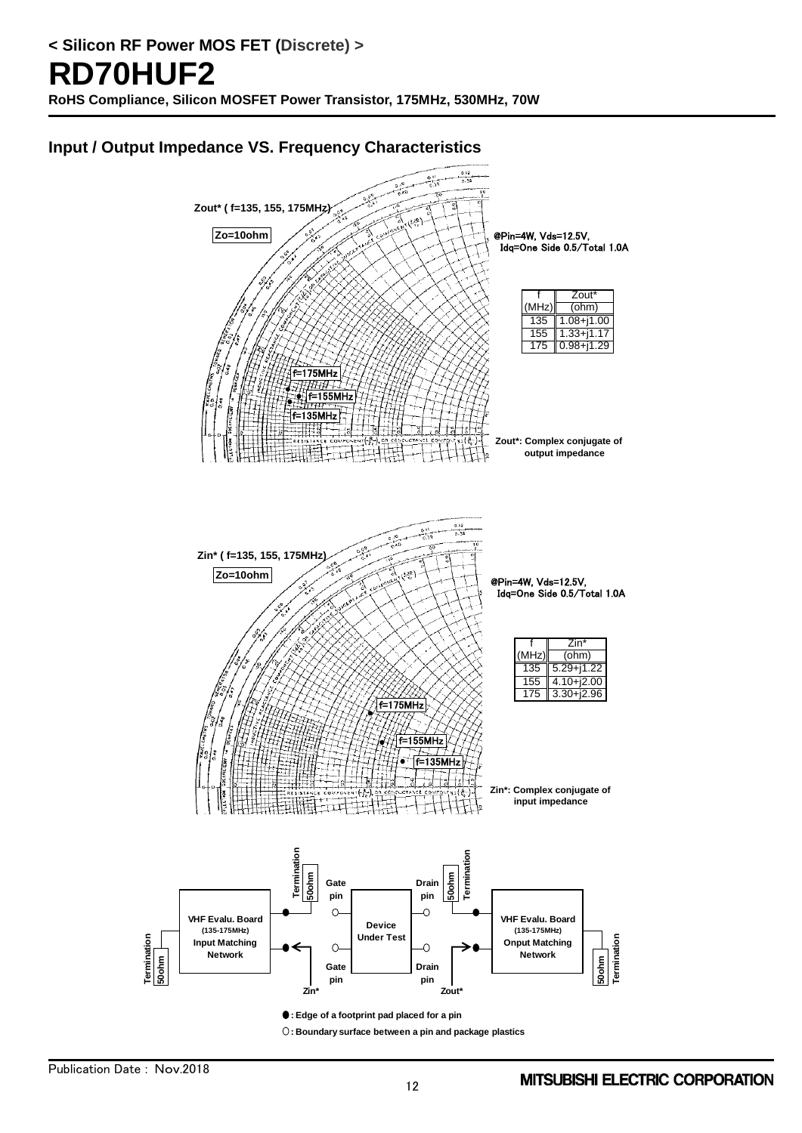### **Input / Output Impedance VS. Frequency Characteristics**



**: Edge of a footprint pad placed for a pin : Boundary surface between a pin and package plastics**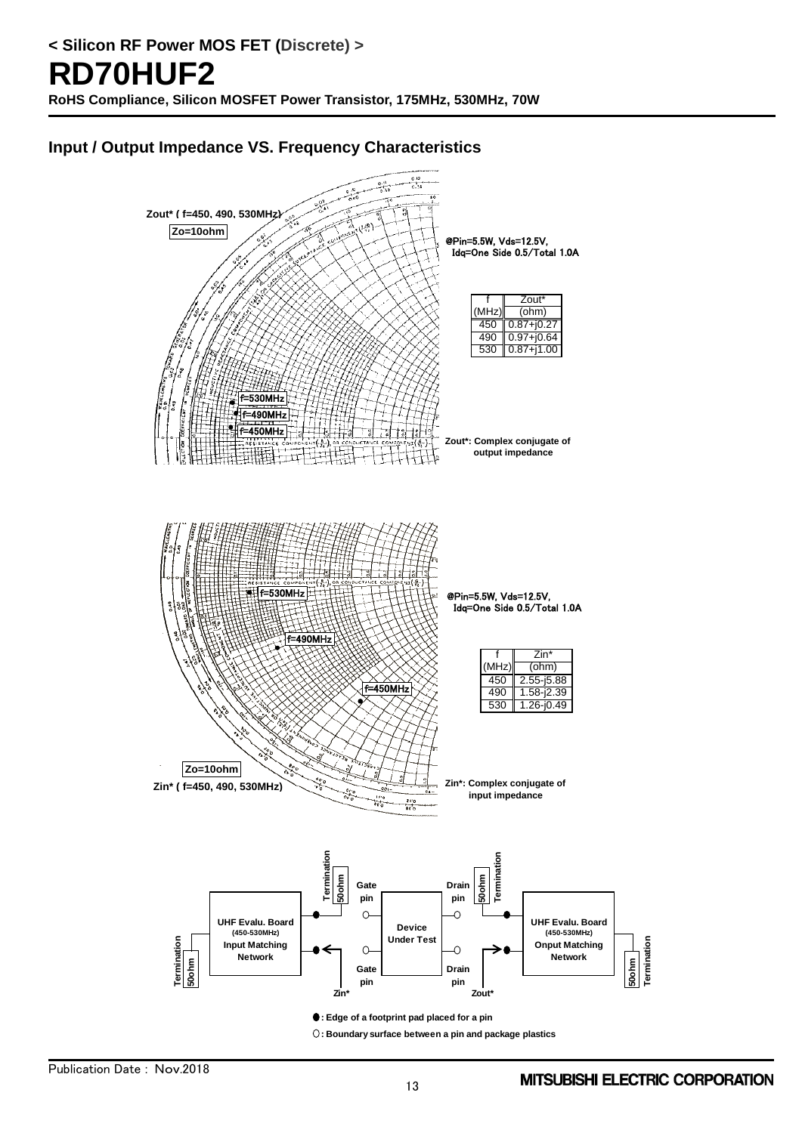## **Input / Output Impedance VS. Frequency Characteristics**



**: Boundary surface between a pin and package plastics**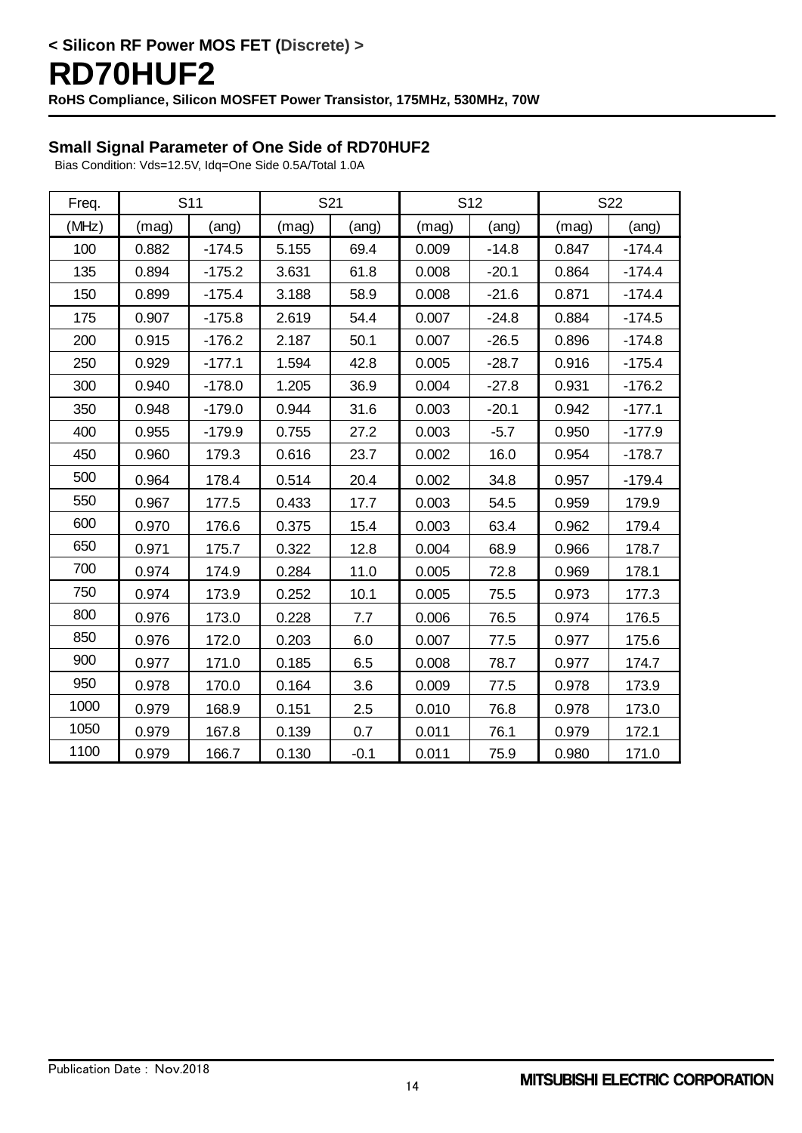### **Small Signal Parameter of One Side of RD70HUF2**

Bias Condition: Vds=12.5V, Idq=One Side 0.5A/Total 1.0A

| Freq. | S <sub>11</sub> |          | S21   |        | S <sub>12</sub> |         | S22   |          |
|-------|-----------------|----------|-------|--------|-----------------|---------|-------|----------|
| (MHz) | (mag)           | (ang)    | (mag) | (ang)  | (mag)           | (ang)   | (mag) | (ang)    |
| 100   | 0.882           | $-174.5$ | 5.155 | 69.4   | 0.009           | $-14.8$ | 0.847 | $-174.4$ |
| 135   | 0.894           | $-175.2$ | 3.631 | 61.8   | 0.008           | $-20.1$ | 0.864 | $-174.4$ |
| 150   | 0.899           | $-175.4$ | 3.188 | 58.9   | 0.008           | $-21.6$ | 0.871 | $-174.4$ |
| 175   | 0.907           | $-175.8$ | 2.619 | 54.4   | 0.007           | $-24.8$ | 0.884 | $-174.5$ |
| 200   | 0.915           | $-176.2$ | 2.187 | 50.1   | 0.007           | $-26.5$ | 0.896 | $-174.8$ |
| 250   | 0.929           | $-177.1$ | 1.594 | 42.8   | 0.005           | $-28.7$ | 0.916 | $-175.4$ |
| 300   | 0.940           | $-178.0$ | 1.205 | 36.9   | 0.004           | $-27.8$ | 0.931 | $-176.2$ |
| 350   | 0.948           | $-179.0$ | 0.944 | 31.6   | 0.003           | $-20.1$ | 0.942 | $-177.1$ |
| 400   | 0.955           | $-179.9$ | 0.755 | 27.2   | 0.003           | $-5.7$  | 0.950 | $-177.9$ |
| 450   | 0.960           | 179.3    | 0.616 | 23.7   | 0.002           | 16.0    | 0.954 | $-178.7$ |
| 500   | 0.964           | 178.4    | 0.514 | 20.4   | 0.002           | 34.8    | 0.957 | $-179.4$ |
| 550   | 0.967           | 177.5    | 0.433 | 17.7   | 0.003           | 54.5    | 0.959 | 179.9    |
| 600   | 0.970           | 176.6    | 0.375 | 15.4   | 0.003           | 63.4    | 0.962 | 179.4    |
| 650   | 0.971           | 175.7    | 0.322 | 12.8   | 0.004           | 68.9    | 0.966 | 178.7    |
| 700   | 0.974           | 174.9    | 0.284 | 11.0   | 0.005           | 72.8    | 0.969 | 178.1    |
| 750   | 0.974           | 173.9    | 0.252 | 10.1   | 0.005           | 75.5    | 0.973 | 177.3    |
| 800   | 0.976           | 173.0    | 0.228 | 7.7    | 0.006           | 76.5    | 0.974 | 176.5    |
| 850   | 0.976           | 172.0    | 0.203 | 6.0    | 0.007           | 77.5    | 0.977 | 175.6    |
| 900   | 0.977           | 171.0    | 0.185 | 6.5    | 0.008           | 78.7    | 0.977 | 174.7    |
| 950   | 0.978           | 170.0    | 0.164 | 3.6    | 0.009           | 77.5    | 0.978 | 173.9    |
| 1000  | 0.979           | 168.9    | 0.151 | 2.5    | 0.010           | 76.8    | 0.978 | 173.0    |
| 1050  | 0.979           | 167.8    | 0.139 | 0.7    | 0.011           | 76.1    | 0.979 | 172.1    |
| 1100  | 0.979           | 166.7    | 0.130 | $-0.1$ | 0.011           | 75.9    | 0.980 | 171.0    |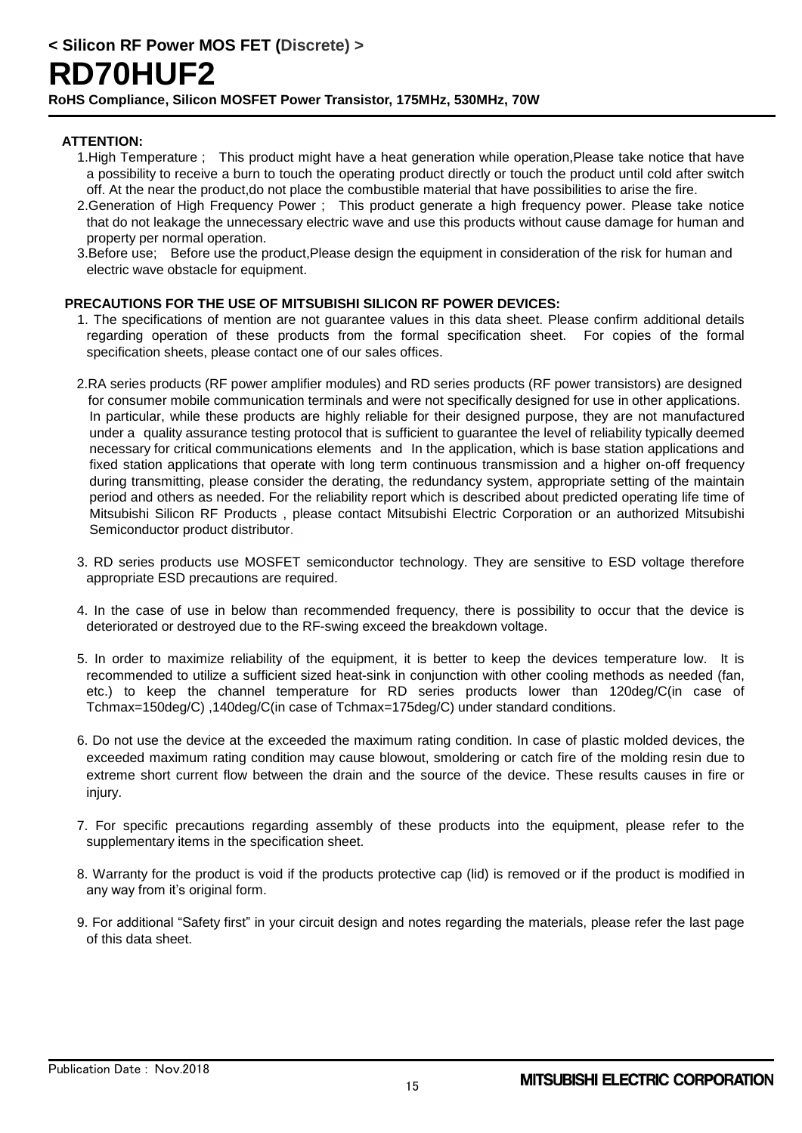#### **ATTENTION:**

- 1.High Temperature ; This product might have a heat generation while operation,Please take notice that have a possibility to receive a burn to touch the operating product directly or touch the product until cold after switch off. At the near the product,do not place the combustible material that have possibilities to arise the fire.
- 2.Generation of High Frequency Power ; This product generate a high frequency power. Please take notice that do not leakage the unnecessary electric wave and use this products without cause damage for human and property per normal operation.
- 3.Before use; Before use the product,Please design the equipment in consideration of the risk for human and electric wave obstacle for equipment.

#### **PRECAUTIONS FOR THE USE OF MITSUBISHI SILICON RF POWER DEVICES:**

- 1. The specifications of mention are not guarantee values in this data sheet. Please confirm additional details regarding operation of these products from the formal specification sheet. For copies of the formal specification sheets, please contact one of our sales offices.
- 2.RA series products (RF power amplifier modules) and RD series products (RF power transistors) are designed for consumer mobile communication terminals and were not specifically designed for use in other applications. In particular, while these products are highly reliable for their designed purpose, they are not manufactured under a quality assurance testing protocol that is sufficient to guarantee the level of reliability typically deemed necessary for critical communications elements and In the application, which is base station applications and fixed station applications that operate with long term continuous transmission and a higher on-off frequency during transmitting, please consider the derating, the redundancy system, appropriate setting of the maintain period and others as needed. For the reliability report which is described about predicted operating life time of Mitsubishi Silicon RF Products , please contact Mitsubishi Electric Corporation or an authorized Mitsubishi Semiconductor product distributor.
- 3. RD series products use MOSFET semiconductor technology. They are sensitive to ESD voltage therefore appropriate ESD precautions are required.
- 4. In the case of use in below than recommended frequency, there is possibility to occur that the device is deteriorated or destroyed due to the RF-swing exceed the breakdown voltage.
- 5. In order to maximize reliability of the equipment, it is better to keep the devices temperature low. It is recommended to utilize a sufficient sized heat-sink in conjunction with other cooling methods as needed (fan, etc.) to keep the channel temperature for RD series products lower than 120deg/C(in case of Tchmax=150deg/C) ,140deg/C(in case of Tchmax=175deg/C) under standard conditions.
- 6. Do not use the device at the exceeded the maximum rating condition. In case of plastic molded devices, the exceeded maximum rating condition may cause blowout, smoldering or catch fire of the molding resin due to extreme short current flow between the drain and the source of the device. These results causes in fire or injury.
- 7. For specific precautions regarding assembly of these products into the equipment, please refer to the supplementary items in the specification sheet.
- 8. Warranty for the product is void if the products protective cap (lid) is removed or if the product is modified in any way from it's original form.
- 9. For additional "Safety first" in your circuit design and notes regarding the materials, please refer the last page of this data sheet.